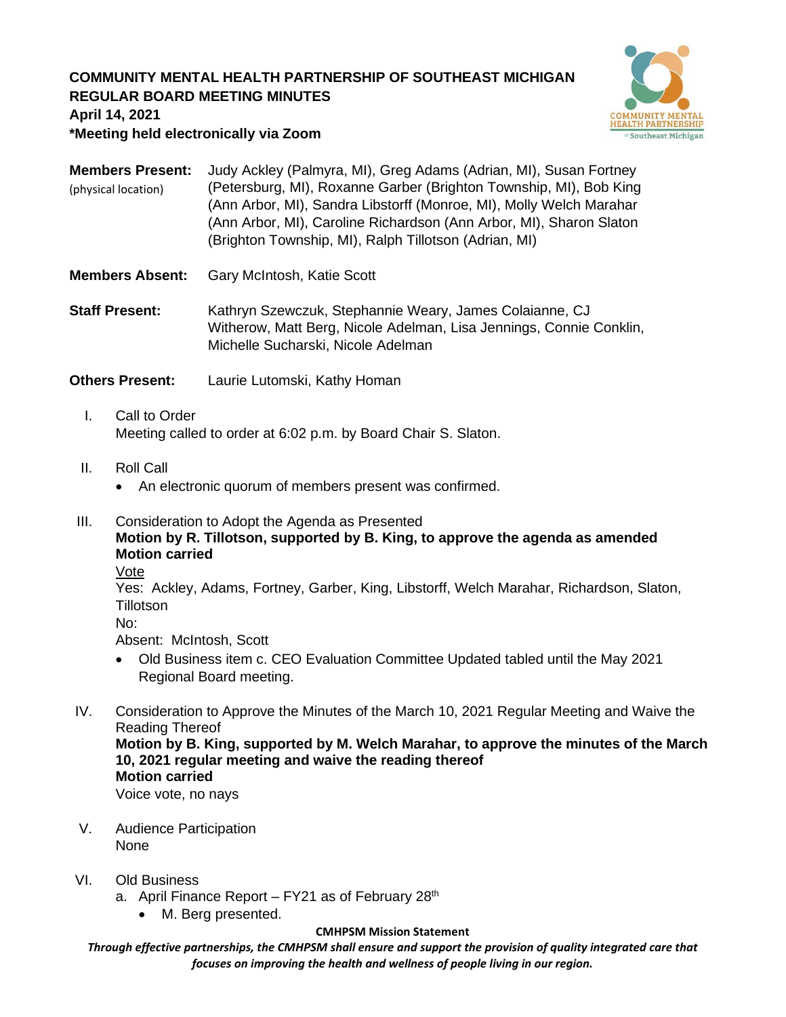# **COMMUNITY MENTAL HEALTH PARTNERSHIP OF SOUTHEAST MICHIGAN REGULAR BOARD MEETING MINUTES**



**April 14, 2021**

**\*Meeting held electronically via Zoom**

| <b>Members Present:</b> | Judy Ackley (Palmyra, MI), Greg Adams (Adrian, MI), Susan Fortney   |
|-------------------------|---------------------------------------------------------------------|
| (physical location)     | (Petersburg, MI), Roxanne Garber (Brighton Township, MI), Bob King  |
|                         | (Ann Arbor, MI), Sandra Libstorff (Monroe, MI), Molly Welch Marahar |
|                         | (Ann Arbor, MI), Caroline Richardson (Ann Arbor, MI), Sharon Slaton |
|                         | (Brighton Township, MI), Ralph Tillotson (Adrian, MI)               |

- **Members Absent:** Gary McIntosh, Katie Scott
- **Staff Present:** Kathryn Szewczuk, Stephannie Weary, James Colaianne, CJ Witherow, Matt Berg, Nicole Adelman, Lisa Jennings, Connie Conklin, Michelle Sucharski, Nicole Adelman

**Others Present:** Laurie Lutomski, Kathy Homan

- I. Call to Order Meeting called to order at 6:02 p.m. by Board Chair S. Slaton.
- II. Roll Call
	- An electronic quorum of members present was confirmed.
- III. Consideration to Adopt the Agenda as Presented **Motion by R. Tillotson, supported by B. King, to approve the agenda as amended Motion carried**

Vote

Yes: Ackley, Adams, Fortney, Garber, King, Libstorff, Welch Marahar, Richardson, Slaton, **Tillotson** 

No:

Absent: McIntosh, Scott

- Old Business item c. CEO Evaluation Committee Updated tabled until the May 2021 Regional Board meeting.
- IV. Consideration to Approve the Minutes of the March 10, 2021 Regular Meeting and Waive the Reading Thereof **Motion by B. King, supported by M. Welch Marahar, to approve the minutes of the March 10, 2021 regular meeting and waive the reading thereof**

**Motion carried**

Voice vote, no nays

V. Audience Participation None

## VI. Old Business

- a. April Finance Report  $-$  FY21 as of February 28<sup>th</sup>
	- M. Berg presented.

### **CMHPSM Mission Statement**

*Through effective partnerships, the CMHPSM shall ensure and support the provision of quality integrated care that focuses on improving the health and wellness of people living in our region.*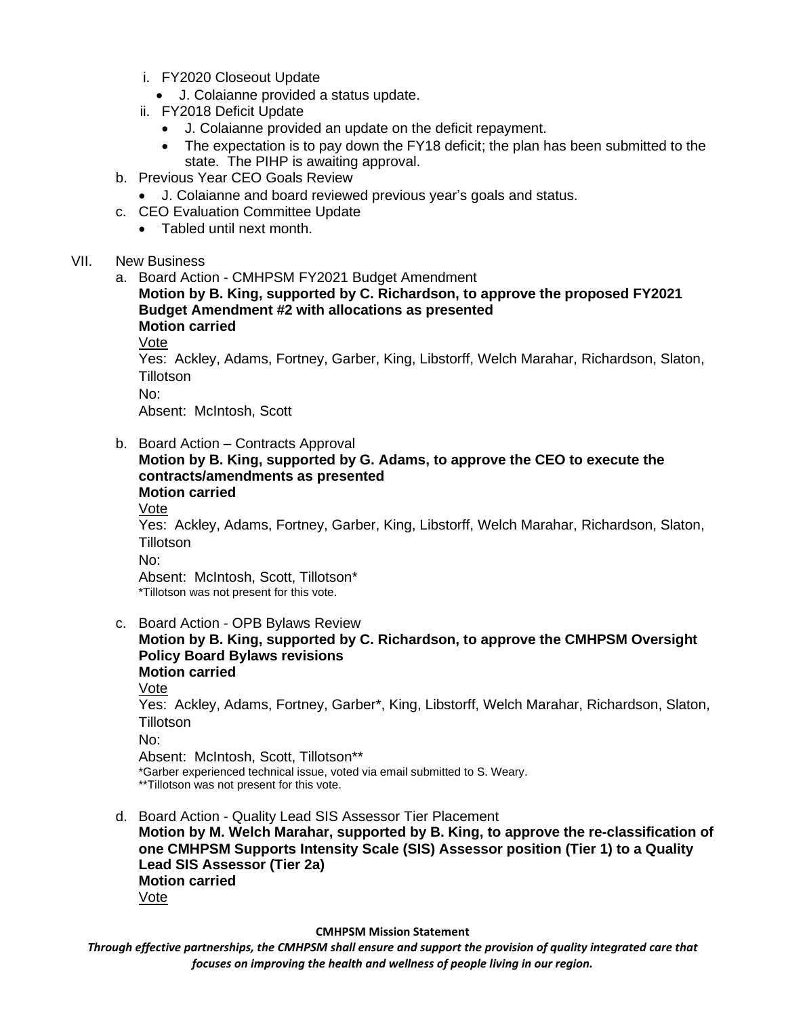- i. FY2020 Closeout Update
	- J. Colaianne provided a status update.
- ii. FY2018 Deficit Update
	- J. Colaianne provided an update on the deficit repayment.
	- The expectation is to pay down the FY18 deficit; the plan has been submitted to the state. The PIHP is awaiting approval.
- b. Previous Year CEO Goals Review
	- J. Colaianne and board reviewed previous year's goals and status.
- c. CEO Evaluation Committee Update
	- Tabled until next month.

### VII. New Business

a. Board Action - CMHPSM FY2021 Budget Amendment

**Motion by B. King, supported by C. Richardson, to approve the proposed FY2021 Budget Amendment #2 with allocations as presented Motion carried**

Vote

Yes: Ackley, Adams, Fortney, Garber, King, Libstorff, Welch Marahar, Richardson, Slaton, **Tillotson** 

No:

Absent: McIntosh, Scott

b. Board Action – Contracts Approval

#### **Motion by B. King, supported by G. Adams, to approve the CEO to execute the contracts/amendments as presented Motion carried**

Vote

Yes: Ackley, Adams, Fortney, Garber, King, Libstorff, Welch Marahar, Richardson, Slaton, **Tillotson** 

No:

Absent: McIntosh, Scott, Tillotson\* \*Tillotson was not present for this vote.

- c. Board Action OPB Bylaws Review
	- **Motion by B. King, supported by C. Richardson, to approve the CMHPSM Oversight Policy Board Bylaws revisions Motion carried** Vote Yes: Ackley, Adams, Fortney, Garber\*, King, Libstorff, Welch Marahar, Richardson, Slaton, **Tillotson** No: Absent: McIntosh, Scott, Tillotson\*\* \*Garber experienced technical issue, voted via email submitted to S. Weary. \*\*Tillotson was not present for this vote.
- d. Board Action Quality Lead SIS Assessor Tier Placement **Motion by M. Welch Marahar, supported by B. King, to approve the re-classification of one CMHPSM Supports Intensity Scale (SIS) Assessor position (Tier 1) to a Quality Lead SIS Assessor (Tier 2a) Motion carried** Vote

**CMHPSM Mission Statement**

*Through effective partnerships, the CMHPSM shall ensure and support the provision of quality integrated care that focuses on improving the health and wellness of people living in our region.*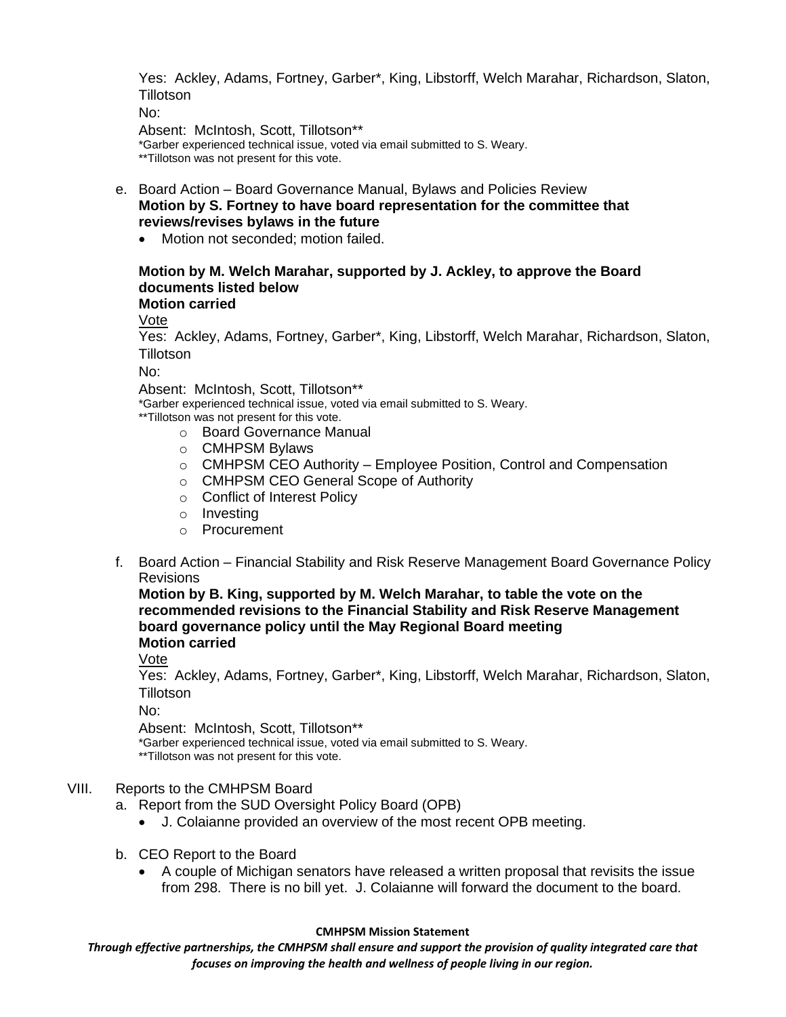Yes: Ackley, Adams, Fortney, Garber\*, King, Libstorff, Welch Marahar, Richardson, Slaton, **Tillotson** 

No:

Absent: McIntosh, Scott, Tillotson\*\*

\*Garber experienced technical issue, voted via email submitted to S. Weary. \*\*Tillotson was not present for this vote.

- e. Board Action Board Governance Manual, Bylaws and Policies Review **Motion by S. Fortney to have board representation for the committee that reviews/revises bylaws in the future**
	- Motion not seconded; motion failed.

# **Motion by M. Welch Marahar, supported by J. Ackley, to approve the Board documents listed below**

# **Motion carried**

Vote

Yes: Ackley, Adams, Fortney, Garber\*, King, Libstorff, Welch Marahar, Richardson, Slaton, **Tillotson** 

No:

Absent: McIntosh, Scott, Tillotson\*\*

\*Garber experienced technical issue, voted via email submitted to S. Weary.

\*\*Tillotson was not present for this vote.

- o Board Governance Manual
- o CMHPSM Bylaws
- $\circ$  CMHPSM CEO Authority Employee Position, Control and Compensation
- o CMHPSM CEO General Scope of Authority
- o Conflict of Interest Policy
- o Investing
- o Procurement
- f. Board Action Financial Stability and Risk Reserve Management Board Governance Policy Revisions

**Motion by B. King, supported by M. Welch Marahar, to table the vote on the recommended revisions to the Financial Stability and Risk Reserve Management board governance policy until the May Regional Board meeting Motion carried**

Vote

Yes: Ackley, Adams, Fortney, Garber\*, King, Libstorff, Welch Marahar, Richardson, Slaton, **Tillotson** 

No:

Absent: McIntosh, Scott, Tillotson\*\*

\*Garber experienced technical issue, voted via email submitted to S. Weary.

\*\*Tillotson was not present for this vote.

VIII. Reports to the CMHPSM Board

a. Report from the SUD Oversight Policy Board (OPB)

- J. Colaianne provided an overview of the most recent OPB meeting.
- b. CEO Report to the Board
	- A couple of Michigan senators have released a written proposal that revisits the issue from 298. There is no bill yet. J. Colaianne will forward the document to the board.

### **CMHPSM Mission Statement**

*Through effective partnerships, the CMHPSM shall ensure and support the provision of quality integrated care that focuses on improving the health and wellness of people living in our region.*